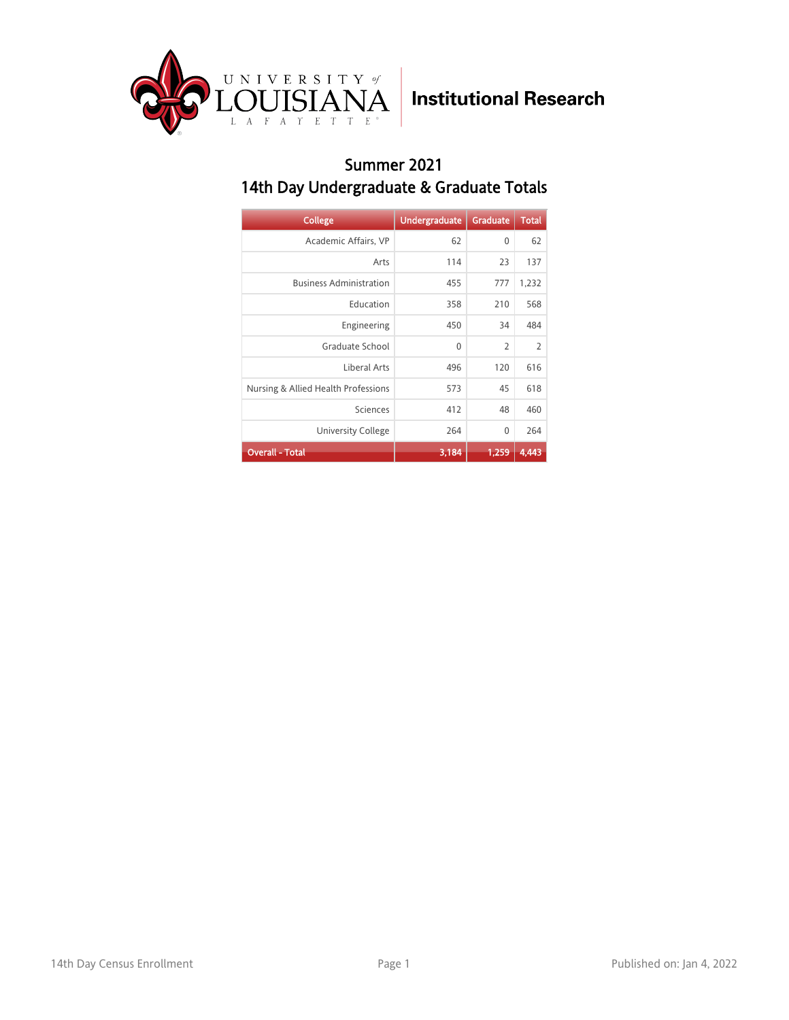

#### Summer 2021 14th Day Undergraduate & Graduate Totals

| <b>College</b>                      | <b>Undergraduate</b> | Graduate       | <b>Total</b>   |
|-------------------------------------|----------------------|----------------|----------------|
| Academic Affairs, VP                | 62                   | $\mathbf{0}$   | 62             |
| Arts                                | 114                  | 23             | 137            |
| <b>Business Administration</b>      | 455                  | 777            | 1,232          |
| Education                           | 358                  | 210            | 568            |
| Engineering                         | 450                  | 34             | 484            |
| Graduate School                     | $\mathbf{0}$         | $\overline{2}$ | $\overline{2}$ |
| Liberal Arts                        | 496                  | 120            | 616            |
| Nursing & Allied Health Professions | 573                  | 45             | 618            |
| Sciences                            | 412                  | 48             | 460            |
| <b>University College</b>           | 264                  | 0              | 264            |
| <b>Overall - Total</b>              | 3,184                | 1,259          | 4.443          |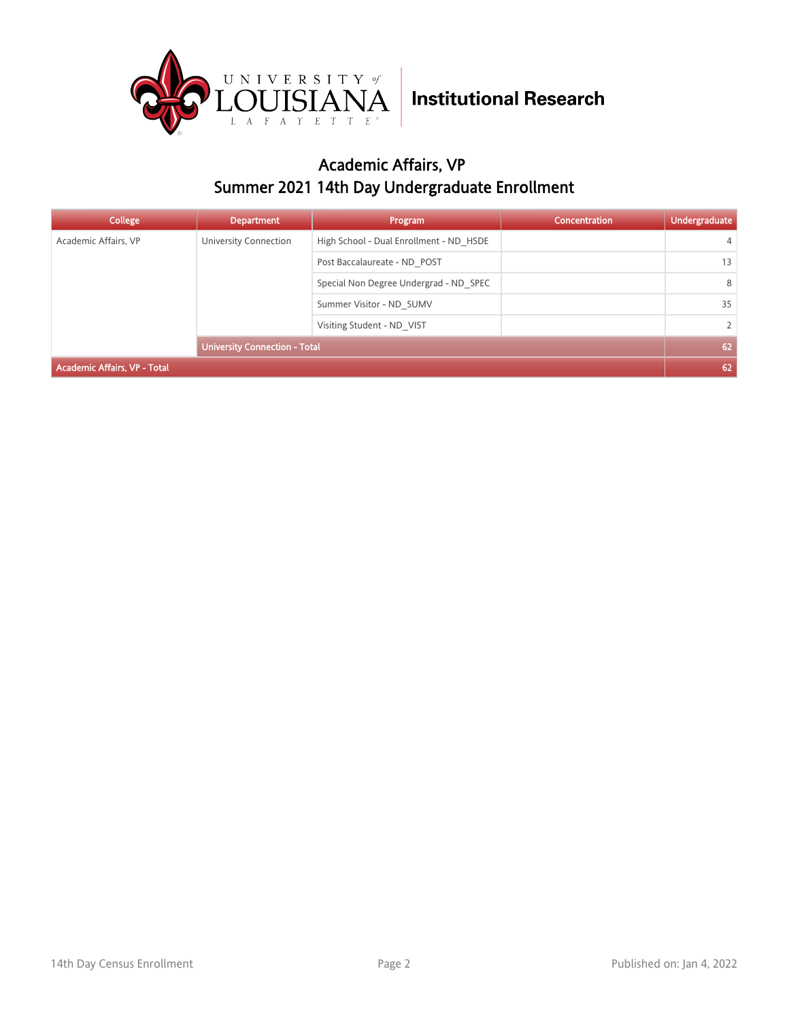

### Academic Affairs, VP Summer 2021 14th Day Undergraduate Enrollment

| College                             | <b>Department</b>                    | Program                                 | <b>Concentration</b> | <b>Undergraduate</b> |
|-------------------------------------|--------------------------------------|-----------------------------------------|----------------------|----------------------|
| Academic Affairs, VP                | University Connection                | High School - Dual Enrollment - ND HSDE |                      | $\overline{4}$       |
|                                     |                                      | Post Baccalaureate - ND POST            |                      | 13                   |
|                                     |                                      | Special Non Degree Undergrad - ND SPEC  |                      | 8                    |
|                                     |                                      | Summer Visitor - ND SUMV                |                      | 35                   |
|                                     |                                      | Visiting Student - ND VIST              |                      | $\overline{2}$       |
|                                     | <b>University Connection - Total</b> |                                         |                      | 62                   |
| <b>Academic Affairs, VP - Total</b> |                                      |                                         |                      | 62                   |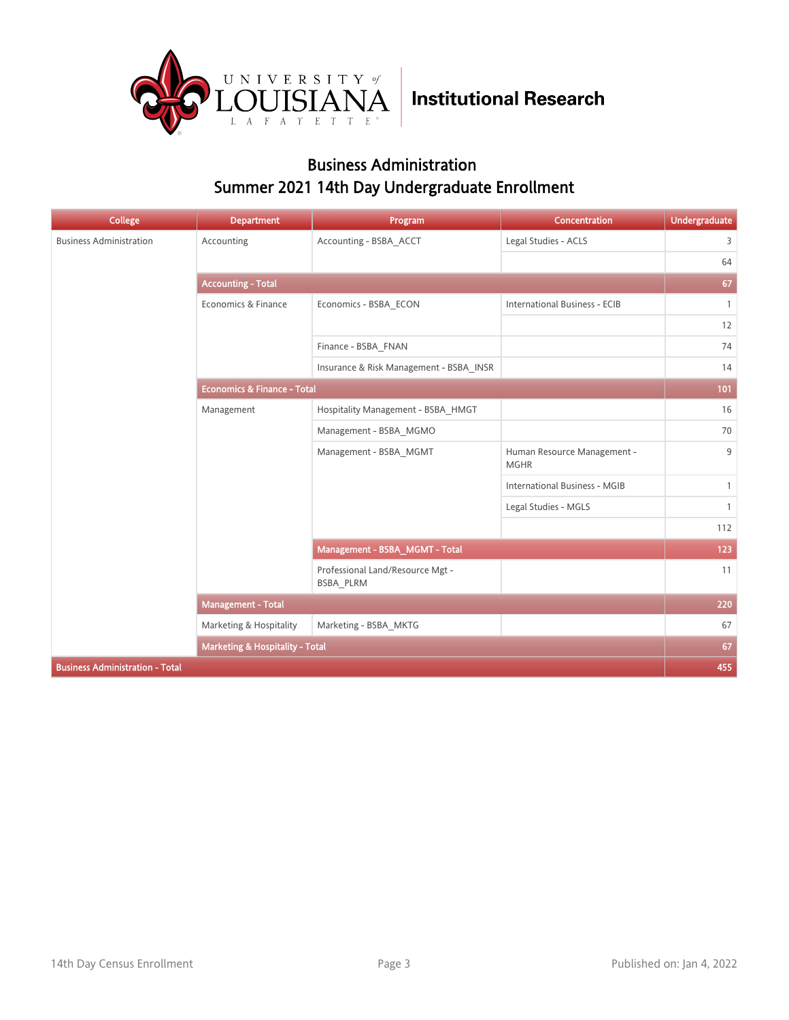

### Business Administration Summer 2021 14th Day Undergraduate Enrollment

| <b>College</b>                         | <b>Department</b>                      | Program                                       | Concentration                              | <b>Undergraduate</b> |
|----------------------------------------|----------------------------------------|-----------------------------------------------|--------------------------------------------|----------------------|
| <b>Business Administration</b>         | Accounting                             | Accounting - BSBA_ACCT                        | Legal Studies - ACLS                       | 3                    |
|                                        |                                        |                                               |                                            | 64                   |
|                                        | <b>Accounting - Total</b>              |                                               |                                            | 67                   |
|                                        | Economics & Finance                    | Economics - BSBA_ECON                         | <b>International Business - ECIB</b>       | $\mathbf{1}$         |
|                                        |                                        |                                               |                                            | 12                   |
|                                        |                                        | Finance - BSBA_FNAN                           |                                            | 74                   |
|                                        |                                        | Insurance & Risk Management - BSBA INSR       |                                            | 14                   |
|                                        | <b>Economics &amp; Finance - Total</b> |                                               |                                            | 101                  |
|                                        | Management                             | Hospitality Management - BSBA HMGT            |                                            | 16                   |
|                                        |                                        | Management - BSBA_MGMO                        |                                            | 70                   |
|                                        |                                        | Management - BSBA_MGMT                        | Human Resource Management -<br><b>MGHR</b> | 9                    |
|                                        |                                        |                                               | <b>International Business - MGIB</b>       | $\mathbf{1}$         |
|                                        |                                        |                                               | Legal Studies - MGLS                       | $\mathbf{1}$         |
|                                        |                                        |                                               |                                            | 112                  |
|                                        |                                        | Management - BSBA_MGMT - Total                |                                            | 123                  |
|                                        |                                        | Professional Land/Resource Mgt -<br>BSBA PLRM |                                            | 11                   |
|                                        | <b>Management - Total</b>              |                                               |                                            | 220                  |
|                                        | Marketing & Hospitality                | Marketing - BSBA MKTG                         |                                            | 67                   |
|                                        | Marketing & Hospitality - Total        |                                               |                                            | 67                   |
| <b>Business Administration - Total</b> |                                        |                                               |                                            | 455                  |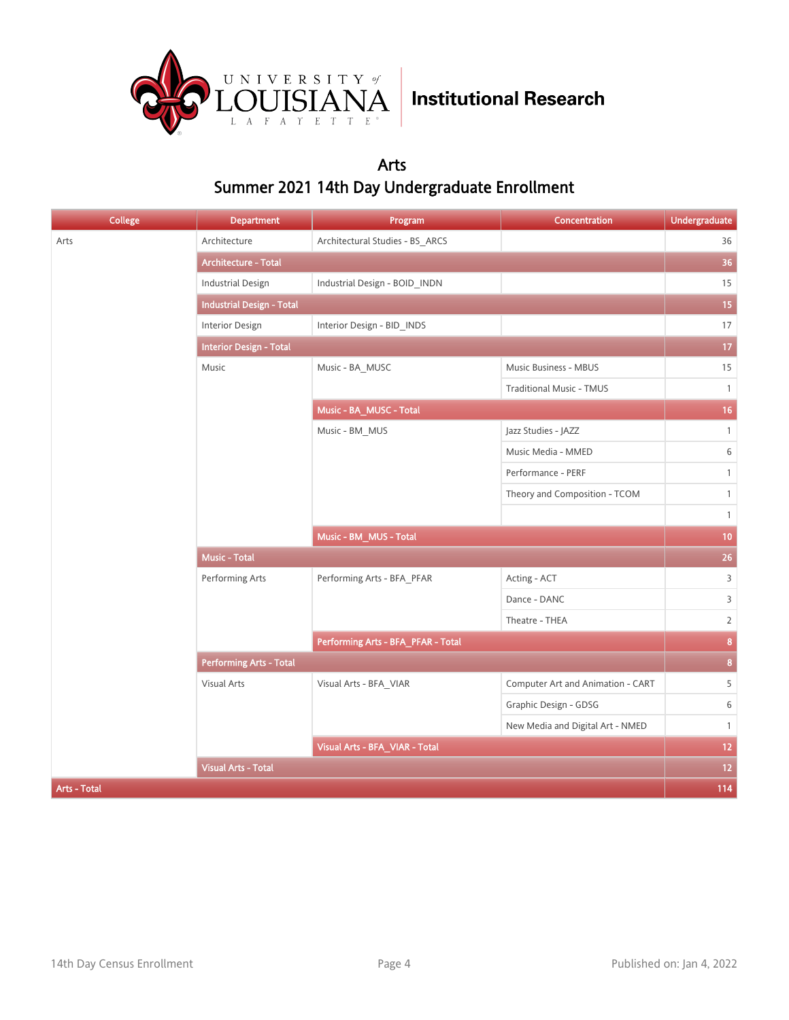

### Arts Summer 2021 14th Day Undergraduate Enrollment

| <b>College</b>             | <b>Department</b>                | Program                            | Concentration                     | Undergraduate   |
|----------------------------|----------------------------------|------------------------------------|-----------------------------------|-----------------|
| Arts                       | Architecture                     | Architectural Studies - BS_ARCS    |                                   | 36              |
|                            | <b>Architecture - Total</b>      |                                    |                                   | 36              |
|                            | <b>Industrial Design</b>         | Industrial Design - BOID_INDN      |                                   | 15              |
|                            | <b>Industrial Design - Total</b> |                                    |                                   | 15              |
|                            | Interior Design                  | Interior Design - BID_INDS         |                                   | 17              |
|                            | <b>Interior Design - Total</b>   |                                    |                                   | $17\,$          |
|                            | Music                            | Music - BA_MUSC                    | Music Business - MBUS             | 15              |
|                            |                                  |                                    | <b>Traditional Music - TMUS</b>   | $\mathbf{1}$    |
|                            |                                  | Music - BA_MUSC - Total            |                                   | 16 <sup>°</sup> |
|                            |                                  | Music - BM_MUS                     | Jazz Studies - JAZZ               | $\mathbf{1}$    |
|                            |                                  |                                    | Music Media - MMED                | 6               |
|                            |                                  |                                    | Performance - PERF                | $\mathbf{1}$    |
|                            |                                  |                                    | Theory and Composition - TCOM     | $\mathbf{1}$    |
|                            |                                  |                                    |                                   | $\mathbf{1}$    |
|                            |                                  | Music - BM_MUS - Total             |                                   | 10 <sub>1</sub> |
|                            | Music - Total                    |                                    |                                   | 26 <sup>°</sup> |
|                            | Performing Arts                  | Performing Arts - BFA_PFAR         | Acting - ACT                      | $\overline{3}$  |
|                            |                                  |                                    | Dance - DANC                      | $\overline{3}$  |
|                            |                                  |                                    | Theatre - THEA                    | $\overline{2}$  |
|                            |                                  | Performing Arts - BFA_PFAR - Total |                                   | 8               |
|                            | <b>Performing Arts - Total</b>   |                                    |                                   | $\mathbf{8}$    |
|                            | Visual Arts                      | Visual Arts - BFA VIAR             | Computer Art and Animation - CART | 5               |
|                            |                                  |                                    | Graphic Design - GDSG             | 6               |
|                            |                                  |                                    | New Media and Digital Art - NMED  | $\mathbf{1}$    |
|                            |                                  | Visual Arts - BFA_VIAR - Total     |                                   | 12 <sub>2</sub> |
| <b>Visual Arts - Total</b> |                                  |                                    | $12$                              |                 |
| Arts - Total               |                                  |                                    |                                   | 114             |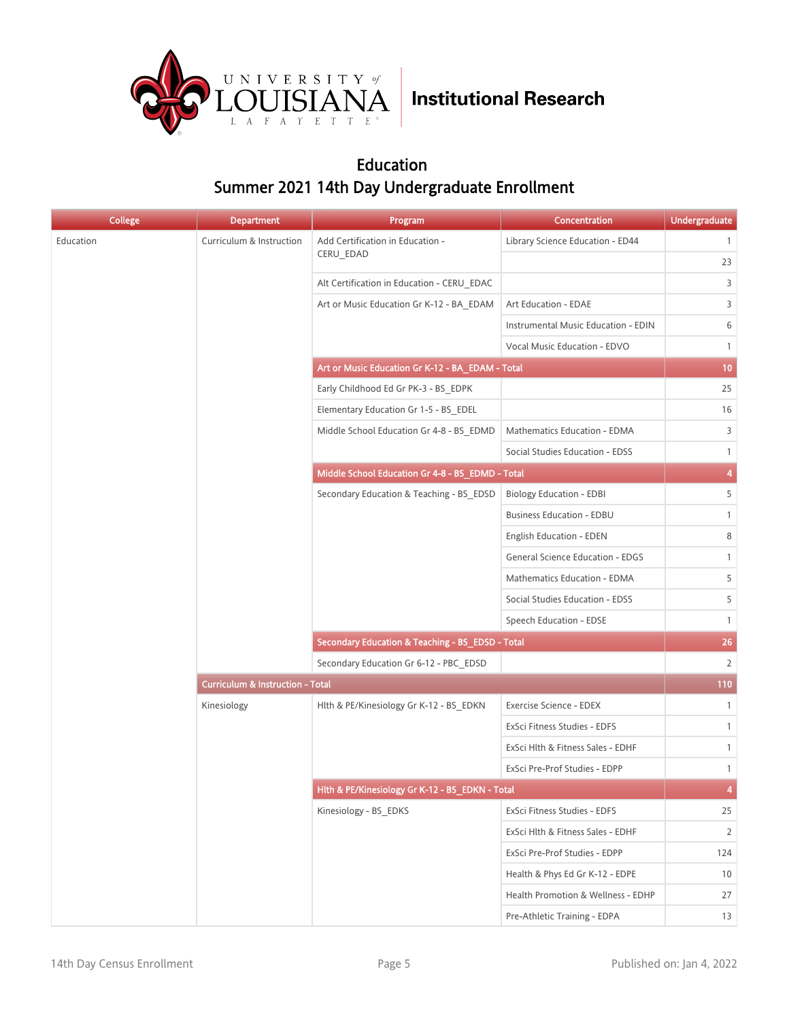

### Education Summer 2021 14th Day Undergraduate Enrollment

| <b>College</b> | <b>Department</b>                           | Program                                          | <b>Concentration</b>                    | <b>Undergraduate</b>    |
|----------------|---------------------------------------------|--------------------------------------------------|-----------------------------------------|-------------------------|
| Education      | Curriculum & Instruction                    | Add Certification in Education -                 | Library Science Education - ED44        | $\mathbf{1}$            |
|                |                                             | CERU EDAD                                        |                                         | 23                      |
|                |                                             | Alt Certification in Education - CERU EDAC       |                                         | 3                       |
|                |                                             | Art or Music Education Gr K-12 - BA_EDAM         | Art Education - EDAE                    | 3                       |
|                |                                             |                                                  | Instrumental Music Education - EDIN     | 6                       |
|                |                                             |                                                  | Vocal Music Education - EDVO            | $\mathbf{1}$            |
|                |                                             | Art or Music Education Gr K-12 - BA_EDAM - Total |                                         | 10                      |
|                |                                             | Early Childhood Ed Gr PK-3 - BS EDPK             |                                         | 25                      |
|                |                                             | Elementary Education Gr 1-5 - BS EDEL            |                                         | 16                      |
|                |                                             | Middle School Education Gr 4-8 - BS EDMD         | Mathematics Education - EDMA            | 3                       |
|                |                                             |                                                  | Social Studies Education - EDSS         | $\mathbf{1}$            |
|                |                                             | Middle School Education Gr 4-8 - BS_EDMD - Total |                                         | $\overline{\mathbf{4}}$ |
|                |                                             | Secondary Education & Teaching - BS EDSD         | <b>Biology Education - EDBI</b>         | 5 <sup>1</sup>          |
|                |                                             |                                                  | <b>Business Education - EDBU</b>        | $\mathbf{1}$            |
|                |                                             |                                                  | English Education - EDEN                | 8                       |
|                |                                             |                                                  | <b>General Science Education - EDGS</b> | $\mathbf{1}$            |
|                |                                             |                                                  | Mathematics Education - EDMA            | 5                       |
|                |                                             |                                                  | Social Studies Education - EDSS         | 5                       |
|                |                                             |                                                  | Speech Education - EDSE                 | $\mathbf{1}$            |
|                |                                             | Secondary Education & Teaching - BS_EDSD - Total |                                         | 26                      |
|                |                                             | Secondary Education Gr 6-12 - PBC_EDSD           |                                         | $2^{\circ}$             |
|                | <b>Curriculum &amp; Instruction - Total</b> |                                                  |                                         | 110                     |
|                | Kinesiology                                 | Hlth & PE/Kinesiology Gr K-12 - BS_EDKN          | Exercise Science - EDEX                 | $\mathbf{1}$            |
|                |                                             |                                                  | ExSci Fitness Studies - EDFS            | $\mathbf{1}$            |
|                |                                             |                                                  | ExSci Hlth & Fitness Sales - EDHF       | $\mathbf{1}$            |
|                |                                             |                                                  | ExSci Pre-Prof Studies - EDPP           | $\mathbf{1}$            |
|                |                                             | Hlth & PE/Kinesiology Gr K-12 - BS_EDKN - Total  |                                         | $\overline{A}$          |
|                |                                             | Kinesiology - BS EDKS                            | ExSci Fitness Studies - EDFS            | 25                      |
|                |                                             |                                                  | ExSci Hlth & Fitness Sales - EDHF       | $\overline{2}$          |
|                |                                             |                                                  | ExSci Pre-Prof Studies - EDPP           | 124                     |
|                |                                             |                                                  | Health & Phys Ed Gr K-12 - EDPE         | 10                      |
|                |                                             |                                                  | Health Promotion & Wellness - EDHP      | 27                      |
|                |                                             |                                                  | Pre-Athletic Training - EDPA            | 13                      |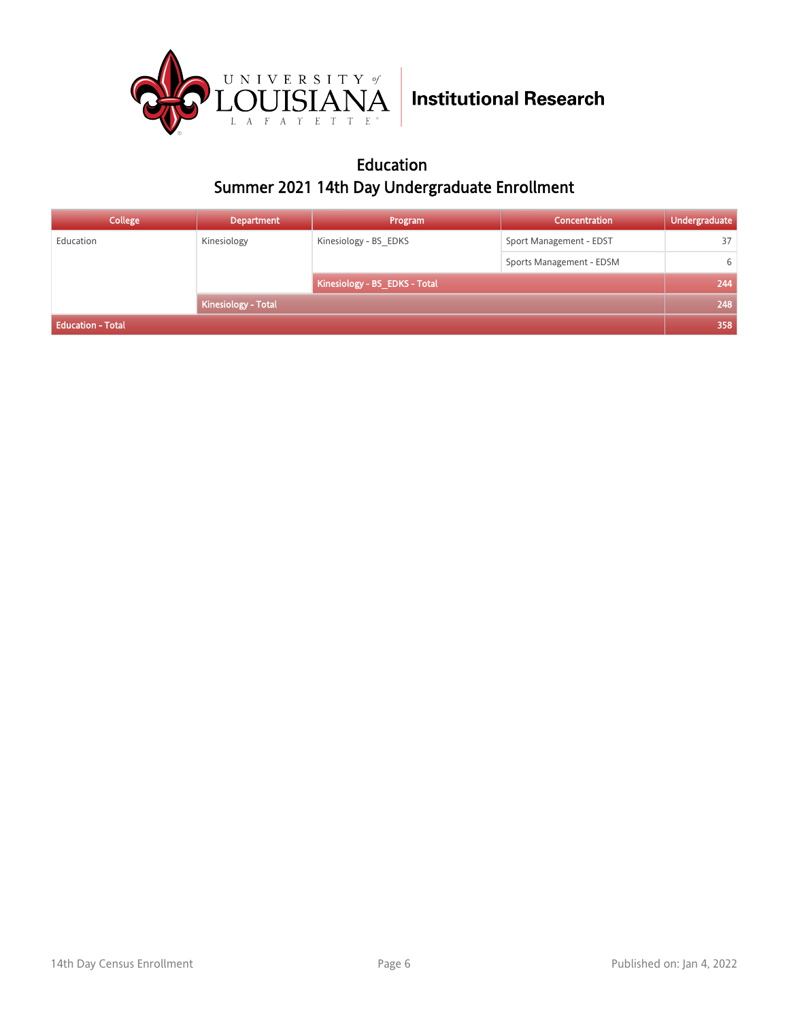

### Education Summer 2021 14th Day Undergraduate Enrollment

| College                    | <b>Department</b> | Program                       | <b>Concentration</b>     | Undergraduate |
|----------------------------|-------------------|-------------------------------|--------------------------|---------------|
| Education                  | Kinesiology       | Kinesiology - BS EDKS         | Sport Management - EDST  | 37            |
|                            |                   |                               | Sports Management - EDSM | 6             |
| <b>Kinesiology - Total</b> |                   | Kinesiology - BS_EDKS - Total |                          | 244           |
|                            |                   |                               |                          | 248           |
| <b>Education - Total</b>   |                   |                               |                          | 358           |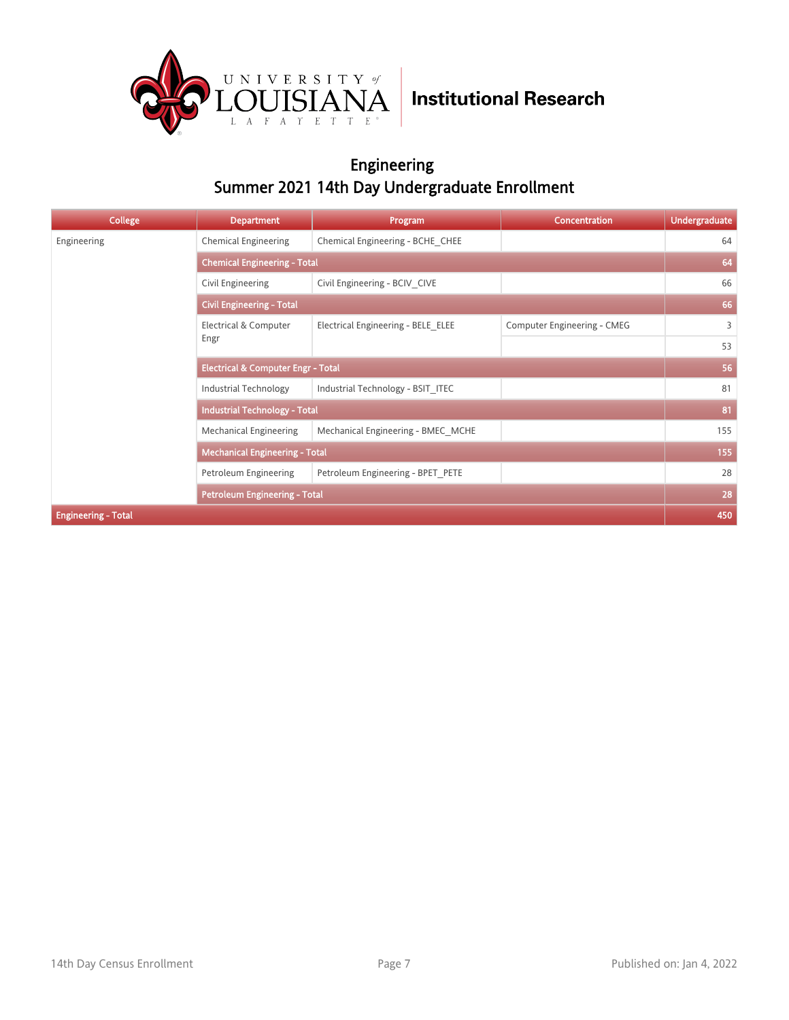

### Engineering Summer 2021 14th Day Undergraduate Enrollment

| College                    | <b>Department</b>                             | Program                             | <b>Concentration</b>        | <b>Undergraduate</b> |  |
|----------------------------|-----------------------------------------------|-------------------------------------|-----------------------------|----------------------|--|
| Engineering                | <b>Chemical Engineering</b>                   | Chemical Engineering - BCHE CHEE    |                             | 64                   |  |
|                            |                                               | <b>Chemical Engineering - Total</b> |                             |                      |  |
|                            | Civil Engineering                             | Civil Engineering - BCIV CIVE       |                             | 66                   |  |
|                            | <b>Civil Engineering - Total</b>              |                                     |                             | 66                   |  |
|                            | Electrical & Computer                         | Electrical Engineering - BELE ELEE  | Computer Engineering - CMEG | 3                    |  |
|                            | Engr                                          |                                     |                             | 53                   |  |
|                            | <b>Electrical &amp; Computer Engr - Total</b> |                                     |                             | 56                   |  |
|                            | Industrial Technology                         | Industrial Technology - BSIT ITEC   |                             | 81                   |  |
|                            | <b>Industrial Technology - Total</b>          |                                     |                             | 81                   |  |
|                            | Mechanical Engineering                        | Mechanical Engineering - BMEC MCHE  |                             | 155                  |  |
|                            | <b>Mechanical Engineering - Total</b>         |                                     |                             | 155                  |  |
|                            | Petroleum Engineering                         | Petroleum Engineering - BPET PETE   |                             | 28                   |  |
|                            | <b>Petroleum Engineering - Total</b>          |                                     |                             | 28                   |  |
| <b>Engineering - Total</b> |                                               |                                     |                             | 450                  |  |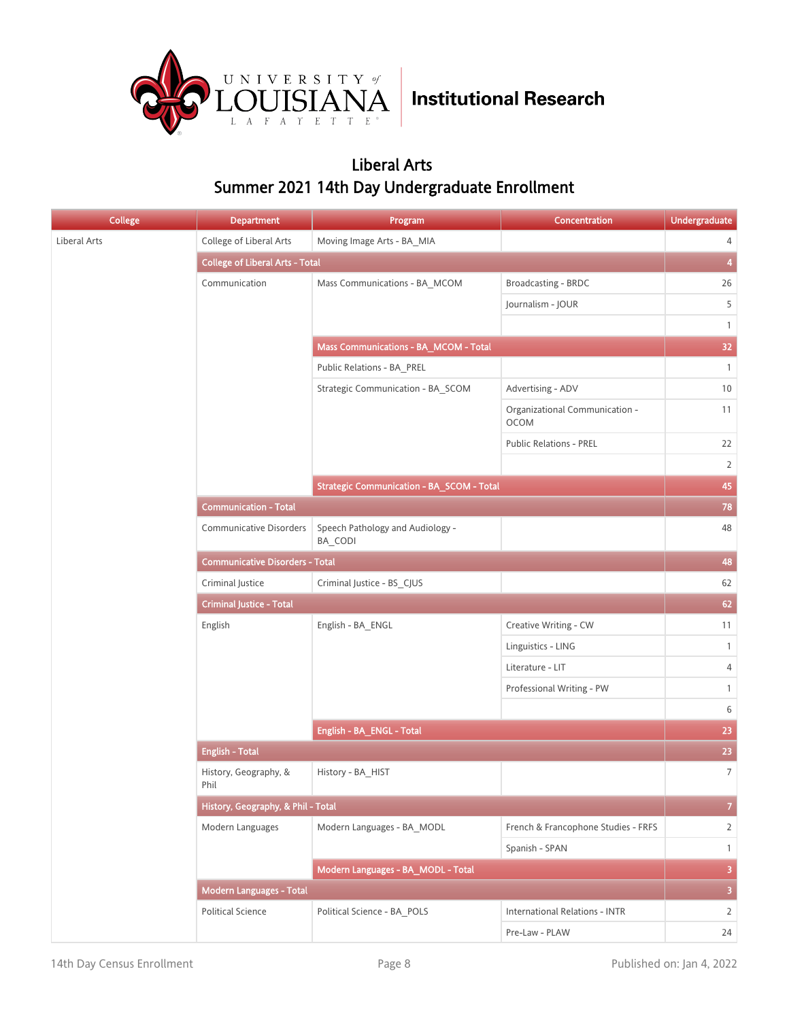

### Liberal Arts Summer 2021 14th Day Undergraduate Enrollment

| <b>College</b> | <b>Department</b>                      | Program                                          | Concentration                                 | Undergraduate           |
|----------------|----------------------------------------|--------------------------------------------------|-----------------------------------------------|-------------------------|
| Liberal Arts   | College of Liberal Arts                | Moving Image Arts - BA MIA                       |                                               | 4                       |
|                | <b>College of Liberal Arts - Total</b> |                                                  |                                               | $\overline{\mathbf{4}}$ |
|                | Communication                          | Mass Communications - BA_MCOM                    | Broadcasting - BRDC                           | 26                      |
|                |                                        |                                                  | Journalism - JOUR                             | 5                       |
|                |                                        |                                                  |                                               | $\mathbf{1}$            |
|                |                                        | Mass Communications - BA_MCOM - Total            |                                               | 32 <sub>2</sub>         |
|                |                                        | Public Relations - BA_PREL                       |                                               | $\overline{1}$          |
|                |                                        | Strategic Communication - BA_SCOM                | Advertising - ADV                             | 10                      |
|                |                                        |                                                  | Organizational Communication -<br><b>OCOM</b> | 11                      |
|                |                                        |                                                  | <b>Public Relations - PREL</b>                | 22                      |
|                |                                        |                                                  |                                               | $\overline{2}$          |
|                |                                        | <b>Strategic Communication - BA_SCOM - Total</b> |                                               | 45                      |
|                | <b>Communication - Total</b>           |                                                  |                                               | 78                      |
|                | <b>Communicative Disorders</b>         | Speech Pathology and Audiology -<br>BA CODI      |                                               | 48                      |
|                | <b>Communicative Disorders - Total</b> |                                                  |                                               | 48                      |
|                | Criminal Justice                       | Criminal Justice - BS_CJUS                       |                                               | 62                      |
|                | <b>Criminal Justice - Total</b>        |                                                  |                                               | 62                      |
|                | English                                | English - BA_ENGL                                | Creative Writing - CW                         | 11                      |
|                |                                        |                                                  | Linguistics - LING                            | $\mathbf{1}$            |
|                |                                        |                                                  | Literature - LIT                              | $\overline{4}$          |
|                |                                        |                                                  | Professional Writing - PW                     | $\mathbf{1}$            |
|                |                                        |                                                  |                                               | 6                       |
|                |                                        | English - BA_ENGL - Total                        |                                               | 23                      |
|                | <b>English - Total</b>                 |                                                  |                                               | 23                      |
|                | History, Geography, &<br>Phil          | History - BA_HIST                                |                                               | $\overline{7}$          |
|                | History, Geography, & Phil - Total     |                                                  |                                               | $\overline{7}$          |
|                | Modern Languages                       | Modern Languages - BA MODL                       | French & Francophone Studies - FRFS           | $\overline{2}$          |
|                |                                        |                                                  | Spanish - SPAN                                | $\mathbf{1}$            |
|                |                                        | Modern Languages - BA_MODL - Total               |                                               | $\overline{\mathbf{3}}$ |
|                | <b>Modern Languages - Total</b>        |                                                  |                                               | $\overline{\mathbf{3}}$ |
|                | <b>Political Science</b>               | Political Science - BA_POLS                      | <b>International Relations - INTR</b>         | 2                       |
|                |                                        |                                                  | Pre-Law - PLAW                                | 24                      |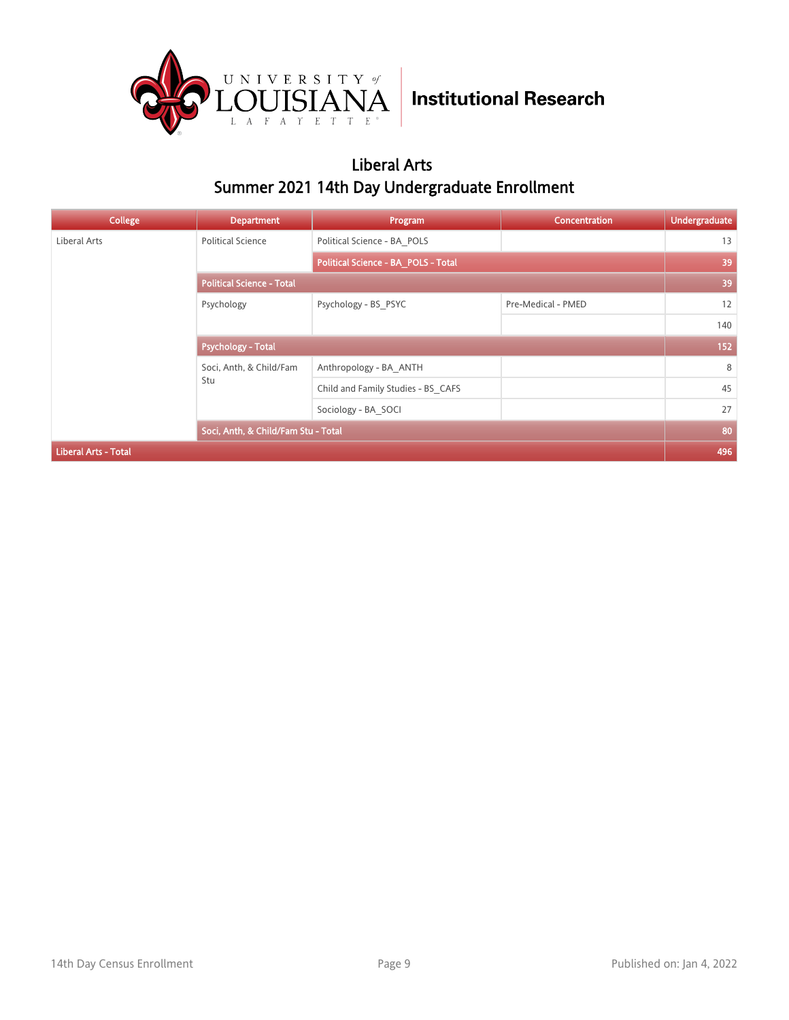

### Liberal Arts Summer 2021 14th Day Undergraduate Enrollment

| College                     | <b>Department</b>                   | Program                             | Concentration      | <b>Undergraduate</b> |
|-----------------------------|-------------------------------------|-------------------------------------|--------------------|----------------------|
| Liberal Arts                | <b>Political Science</b>            | Political Science - BA POLS         |                    | 13                   |
|                             |                                     | Political Science - BA_POLS - Total |                    | 39                   |
|                             | <b>Political Science - Total</b>    |                                     |                    | 39                   |
|                             | Psychology                          | Psychology - BS PSYC                | Pre-Medical - PMED | 12                   |
|                             |                                     |                                     |                    | 140                  |
|                             | Psychology - Total                  |                                     |                    | 152                  |
|                             | Soci, Anth, & Child/Fam<br>Stu      | Anthropology - BA ANTH              |                    | 8                    |
|                             |                                     | Child and Family Studies - BS CAFS  |                    | 45                   |
|                             |                                     | Sociology - BA SOCI                 |                    | 27                   |
|                             | Soci, Anth, & Child/Fam Stu - Total |                                     |                    | 80                   |
| <b>Liberal Arts - Total</b> |                                     |                                     |                    | 496                  |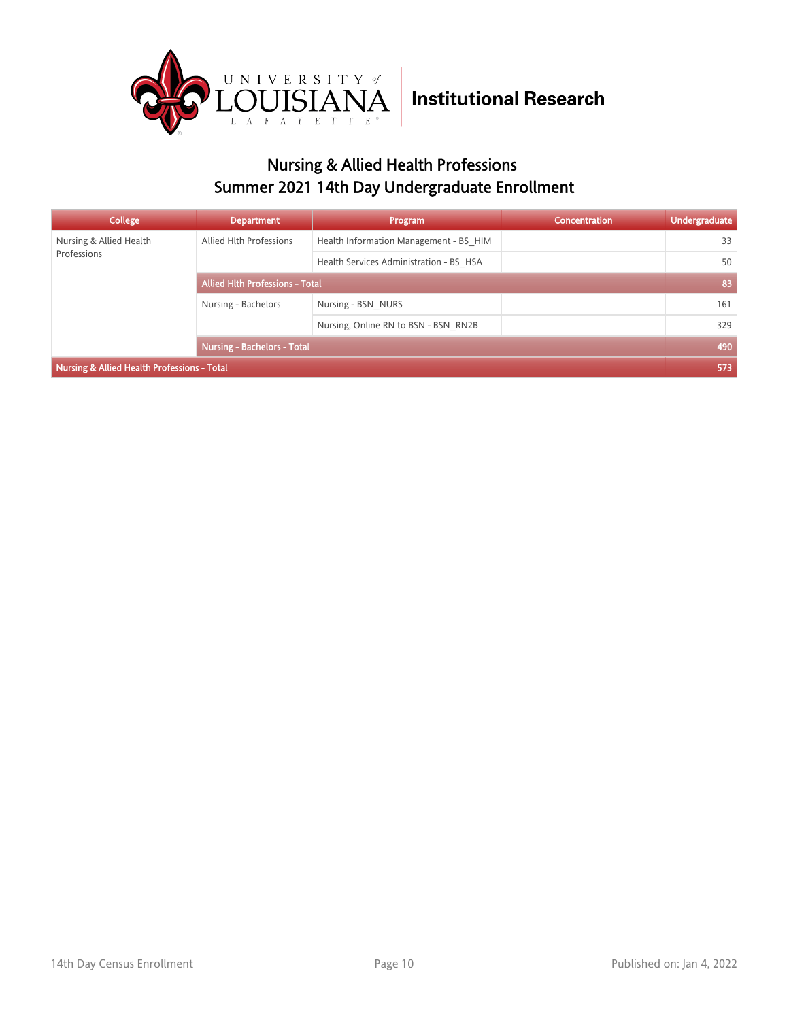

### Nursing & Allied Health Professions Summer 2021 14th Day Undergraduate Enrollment

| College                                     | <b>Department</b>                      | Program                                 | <b>Concentration</b> | <b>Undergraduate</b> |
|---------------------------------------------|----------------------------------------|-----------------------------------------|----------------------|----------------------|
| Nursing & Allied Health                     | Allied Hlth Professions                | Health Information Management - BS HIM  |                      | 33                   |
| Professions                                 |                                        | Health Services Administration - BS HSA |                      | 50                   |
|                                             | <b>Allied Hith Professions - Total</b> |                                         |                      | 83                   |
|                                             | Nursing - Bachelors                    | Nursing - BSN NURS                      |                      | 161                  |
|                                             |                                        | Nursing, Online RN to BSN - BSN RN2B    |                      | 329                  |
|                                             | <b>Nursing - Bachelors - Total</b>     |                                         |                      | 490                  |
| Nursing & Allied Health Professions - Total |                                        |                                         |                      | 573                  |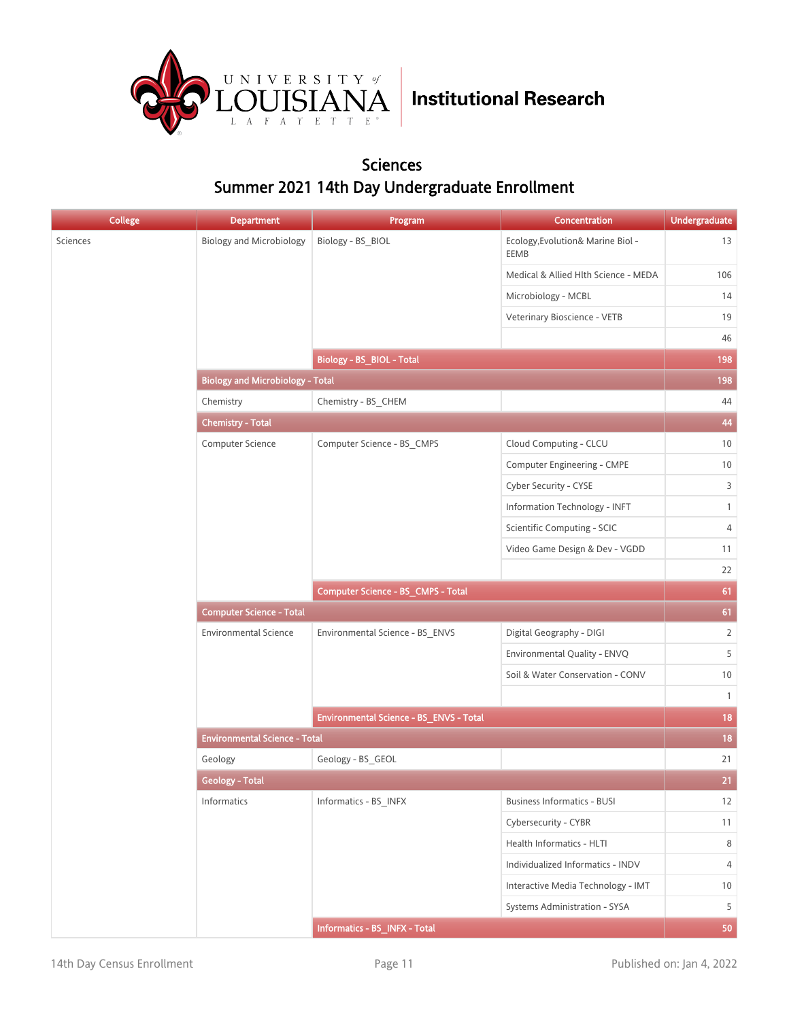

#### Sciences Summer 2021 14th Day Undergraduate Enrollment

| <b>College</b> | <b>Department</b>                       | Program                                 | <b>Concentration</b>                      | <b>Undergraduate</b> |
|----------------|-----------------------------------------|-----------------------------------------|-------------------------------------------|----------------------|
| Sciences       | <b>Biology and Microbiology</b>         | Biology - BS_BIOL                       | Ecology, Evolution& Marine Biol -<br>EEMB | 13                   |
|                |                                         |                                         | Medical & Allied Hlth Science - MEDA      | 106                  |
|                |                                         |                                         | Microbiology - MCBL                       | 14                   |
|                |                                         |                                         | Veterinary Bioscience - VETB              | 19                   |
|                |                                         |                                         |                                           | 46                   |
|                |                                         | <b>Biology - BS_BIOL - Total</b>        |                                           | 198                  |
|                | <b>Biology and Microbiology - Total</b> |                                         |                                           | 198                  |
|                | Chemistry                               | Chemistry - BS_CHEM                     |                                           | 44                   |
|                | <b>Chemistry - Total</b>                |                                         |                                           | 44                   |
|                | Computer Science                        | Computer Science - BS_CMPS              | Cloud Computing - CLCU                    | 10                   |
|                |                                         |                                         | Computer Engineering - CMPE               | 10                   |
|                |                                         |                                         | Cyber Security - CYSE                     | $\overline{3}$       |
|                |                                         |                                         | Information Technology - INFT             | $\mathbf{1}$         |
|                |                                         |                                         | Scientific Computing - SCIC               | $\sqrt{4}$           |
|                |                                         |                                         | Video Game Design & Dev - VGDD            | 11                   |
|                |                                         |                                         |                                           | 22                   |
|                |                                         | Computer Science - BS_CMPS - Total      |                                           | 61                   |
|                | <b>Computer Science - Total</b>         |                                         |                                           |                      |
|                | <b>Environmental Science</b>            | Environmental Science - BS_ENVS         | Digital Geography - DIGI                  | $\overline{2}$       |
|                |                                         |                                         | Environmental Quality - ENVQ              | 5                    |
|                |                                         |                                         | Soil & Water Conservation - CONV          | $10$                 |
|                |                                         |                                         |                                           | $\mathbf{1}$         |
|                |                                         | Environmental Science - BS_ENVS - Total |                                           | 18                   |
|                | <b>Environmental Science - Total</b>    |                                         |                                           | 18                   |
|                | Geology                                 | Geology - BS_GEOL                       |                                           | 21                   |
|                | <b>Geology - Total</b>                  |                                         |                                           | 21                   |
|                | Informatics                             | Informatics - BS_INFX                   | <b>Business Informatics - BUSI</b>        | 12                   |
|                |                                         |                                         | Cybersecurity - CYBR                      | 11                   |
|                |                                         |                                         | Health Informatics - HLTI                 | 8                    |
|                |                                         |                                         | Individualized Informatics - INDV         | 4                    |
|                |                                         |                                         | Interactive Media Technology - IMT        | 10                   |
|                |                                         |                                         | Systems Administration - SYSA             | 5                    |
|                |                                         | Informatics - BS_INFX - Total           |                                           | 50                   |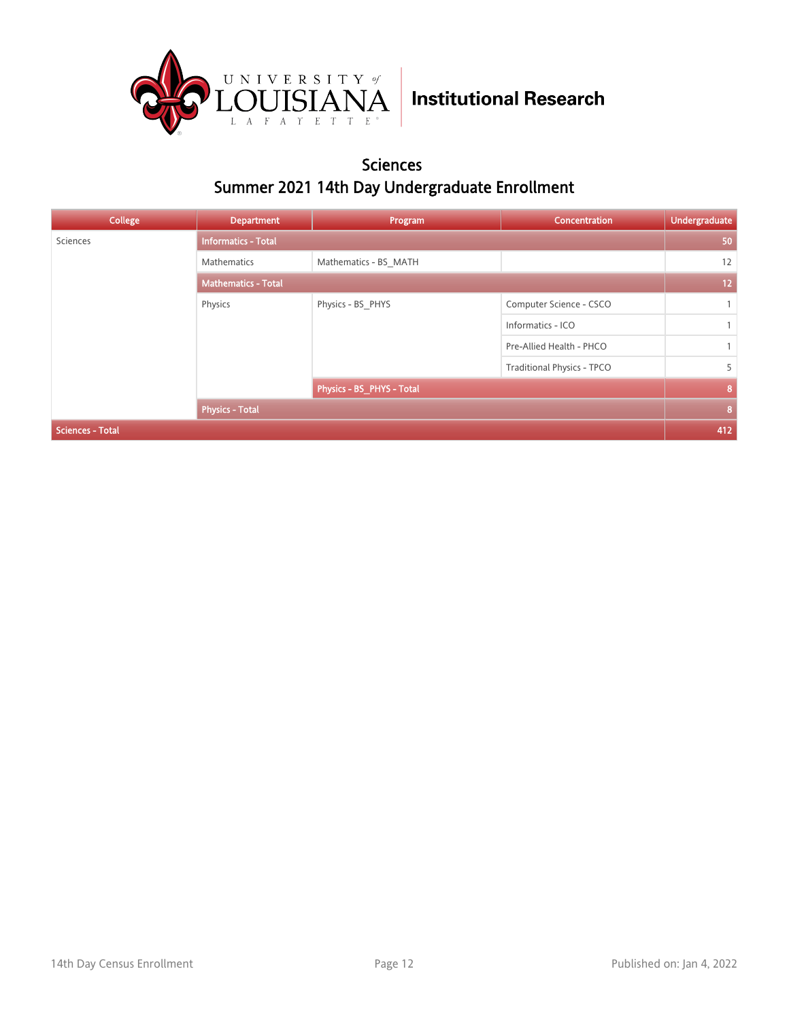

#### Sciences Summer 2021 14th Day Undergraduate Enrollment

| College                 | <b>Department</b>          | Program                   | Concentration                     | <b>Undergraduate</b> |
|-------------------------|----------------------------|---------------------------|-----------------------------------|----------------------|
| Sciences                | <b>Informatics - Total</b> |                           |                                   | 50                   |
|                         | Mathematics                | Mathematics - BS MATH     |                                   | 12                   |
|                         | <b>Mathematics - Total</b> |                           |                                   | 12                   |
|                         | Physics                    | Physics - BS_PHYS         | Computer Science - CSCO           |                      |
|                         |                            |                           | Informatics - ICO                 | $\mathbf{1}$         |
|                         |                            |                           | Pre-Allied Health - PHCO          |                      |
|                         |                            |                           | <b>Traditional Physics - TPCO</b> | 5                    |
|                         |                            | Physics - BS PHYS - Total |                                   | 8                    |
|                         | <b>Physics - Total</b>     |                           |                                   | 8                    |
| <b>Sciences - Total</b> |                            |                           |                                   | 412                  |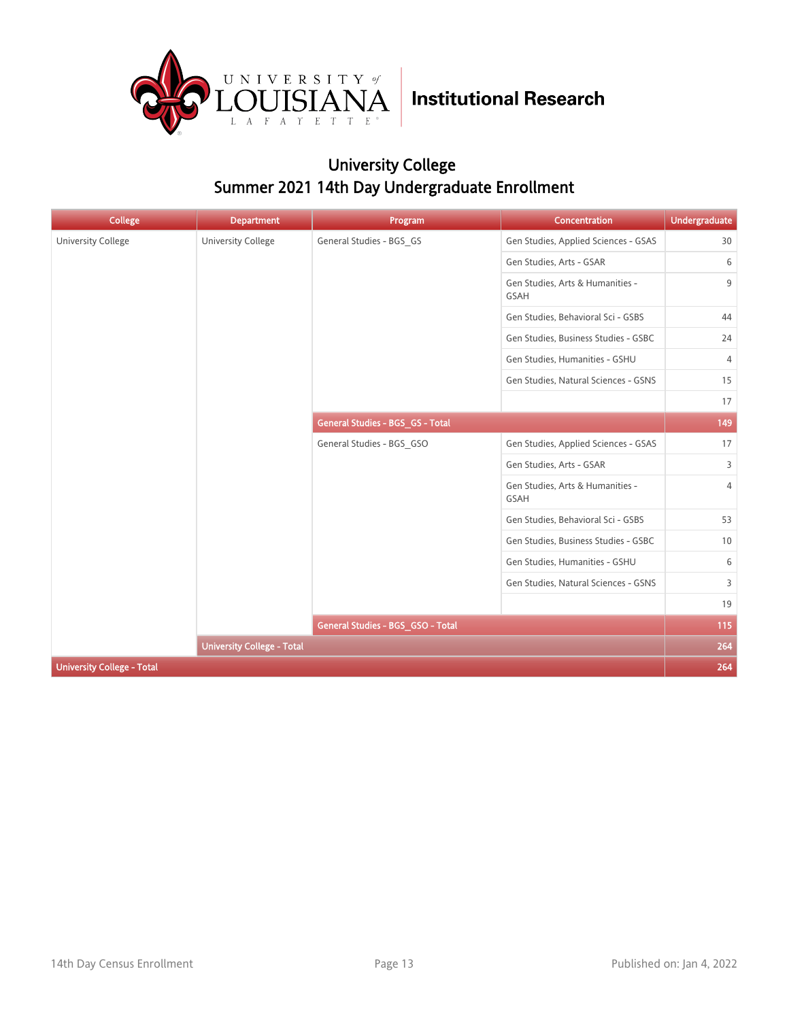

### University College Summer 2021 14th Day Undergraduate Enrollment

| <b>College</b>                    | <b>Department</b>                 | Program                           | <b>Concentration</b>                            | <b>Undergraduate</b> |
|-----------------------------------|-----------------------------------|-----------------------------------|-------------------------------------------------|----------------------|
| <b>University College</b>         | <b>University College</b>         | General Studies - BGS_GS          | Gen Studies, Applied Sciences - GSAS            | 30                   |
|                                   |                                   |                                   | Gen Studies, Arts - GSAR                        | 6                    |
|                                   |                                   |                                   | Gen Studies, Arts & Humanities -<br><b>GSAH</b> | 9                    |
|                                   |                                   |                                   | Gen Studies, Behavioral Sci - GSBS              | 44                   |
|                                   |                                   |                                   | Gen Studies, Business Studies - GSBC            | 24                   |
|                                   |                                   |                                   | Gen Studies, Humanities - GSHU                  | 4                    |
|                                   |                                   |                                   | Gen Studies, Natural Sciences - GSNS            | 15                   |
|                                   |                                   |                                   |                                                 | 17                   |
|                                   |                                   | General Studies - BGS_GS - Total  |                                                 | 149                  |
|                                   |                                   | General Studies - BGS_GSO         | Gen Studies, Applied Sciences - GSAS            | 17                   |
|                                   |                                   |                                   | Gen Studies, Arts - GSAR                        | 3                    |
|                                   |                                   |                                   | Gen Studies, Arts & Humanities -<br>GSAH        | $\overline{4}$       |
|                                   |                                   |                                   | Gen Studies, Behavioral Sci - GSBS              | 53                   |
|                                   |                                   |                                   | Gen Studies, Business Studies - GSBC            | 10                   |
|                                   |                                   |                                   | Gen Studies, Humanities - GSHU                  | 6                    |
|                                   |                                   |                                   | Gen Studies, Natural Sciences - GSNS            | 3                    |
|                                   |                                   |                                   |                                                 | 19                   |
|                                   |                                   | General Studies - BGS_GSO - Total |                                                 | 115                  |
|                                   | <b>University College - Total</b> |                                   |                                                 | 264                  |
| <b>University College - Total</b> |                                   |                                   |                                                 | 264                  |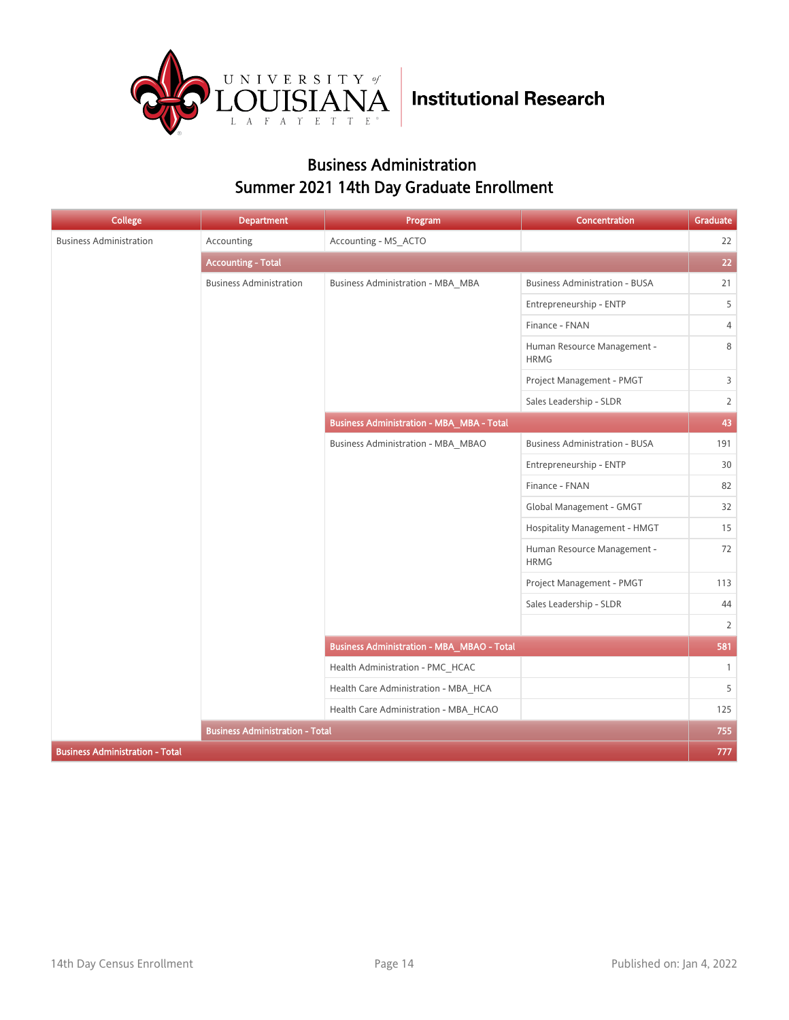

### Business Administration Summer 2021 14th Day Graduate Enrollment

| <b>College</b>                         | <b>Department</b>                      | Program                                           | <b>Concentration</b>                       | Graduate       |
|----------------------------------------|----------------------------------------|---------------------------------------------------|--------------------------------------------|----------------|
| <b>Business Administration</b>         | Accounting                             | Accounting - MS ACTO                              |                                            | 22             |
|                                        | <b>Accounting - Total</b>              |                                                   |                                            | 22             |
|                                        | <b>Business Administration</b>         | Business Administration - MBA MBA                 | <b>Business Administration - BUSA</b>      | 21             |
|                                        |                                        |                                                   | Entrepreneurship - ENTP                    | 5              |
|                                        |                                        |                                                   | Finance - FNAN                             | $\overline{4}$ |
|                                        |                                        |                                                   | Human Resource Management -<br><b>HRMG</b> | 8              |
|                                        |                                        |                                                   | Project Management - PMGT                  | 3              |
|                                        |                                        |                                                   | Sales Leadership - SLDR                    | $\overline{2}$ |
|                                        |                                        | <b>Business Administration - MBA_MBA - Total</b>  |                                            | 43             |
|                                        |                                        | <b>Business Administration - MBA_MBAO</b>         | <b>Business Administration - BUSA</b>      | 191            |
|                                        |                                        |                                                   | Entrepreneurship - ENTP                    | 30             |
|                                        |                                        |                                                   | Finance - FNAN                             | 82             |
|                                        |                                        |                                                   | Global Management - GMGT                   | 32             |
|                                        |                                        |                                                   | Hospitality Management - HMGT              | 15             |
|                                        |                                        |                                                   | Human Resource Management -<br><b>HRMG</b> | 72             |
|                                        |                                        |                                                   | Project Management - PMGT                  | 113            |
|                                        |                                        |                                                   | Sales Leadership - SLDR                    | 44             |
|                                        |                                        |                                                   |                                            | $\overline{2}$ |
|                                        |                                        | <b>Business Administration - MBA_MBAO - Total</b> |                                            | 581            |
|                                        |                                        | Health Administration - PMC HCAC                  |                                            | $\mathbf{1}$   |
|                                        |                                        | Health Care Administration - MBA HCA              |                                            | 5              |
|                                        |                                        | Health Care Administration - MBA_HCAO             |                                            | 125            |
|                                        | <b>Business Administration - Total</b> |                                                   |                                            | 755            |
| <b>Business Administration - Total</b> |                                        |                                                   |                                            | 777            |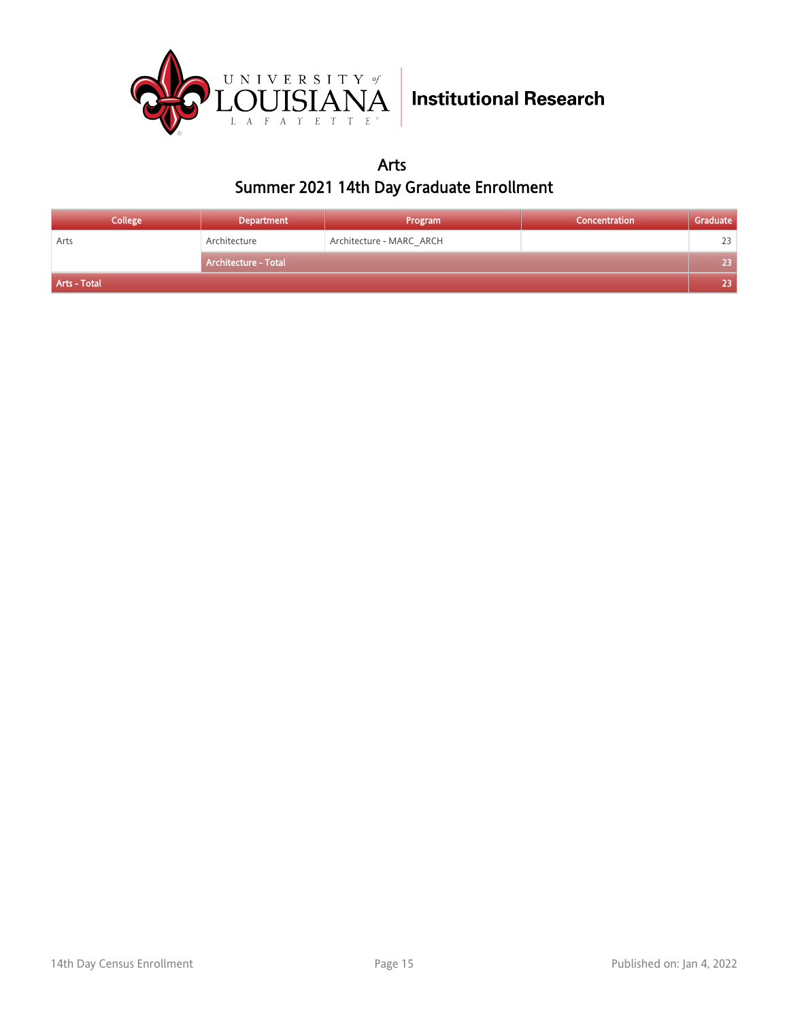

Arts Summer 2021 14th Day Graduate Enrollment

| <b>College</b> | <b>Department</b>           | Program                  | Concentration | Graduate |
|----------------|-----------------------------|--------------------------|---------------|----------|
| Arts           | Architecture                | Architecture - MARC ARCH |               | 23       |
|                | <b>Architecture - Total</b> |                          |               | 23       |
| Arts - Total   |                             |                          |               | 23       |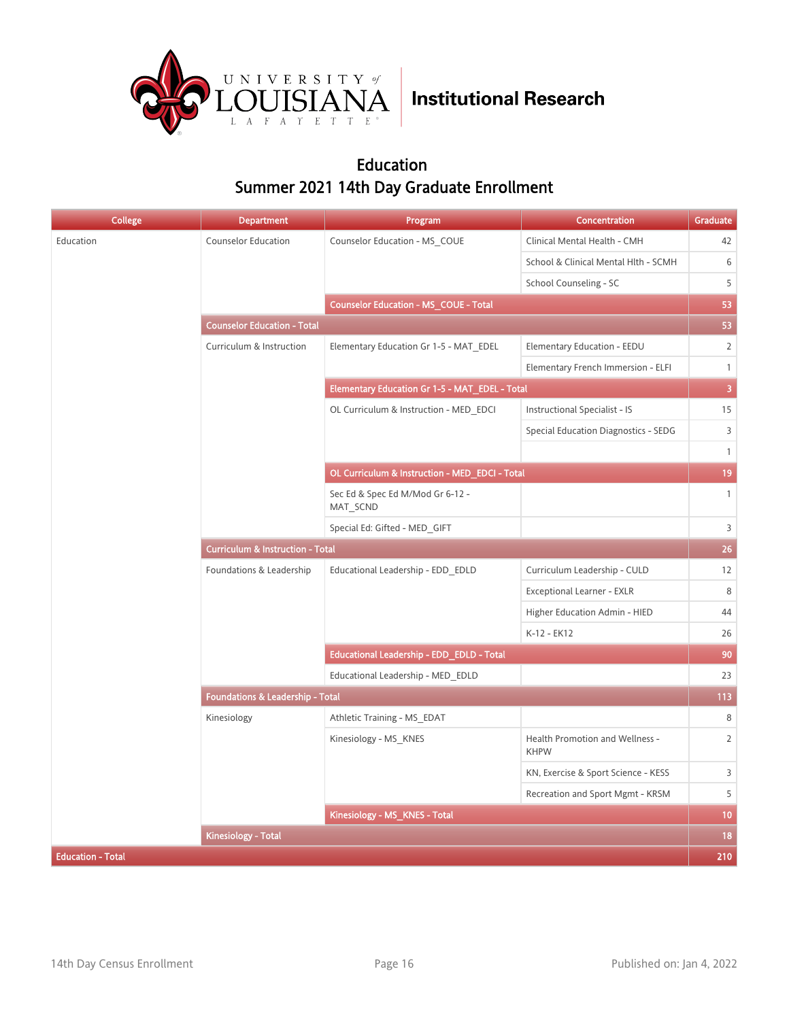

### Education Summer 2021 14th Day Graduate Enrollment

| <b>College</b>           | Department                                  | Program                                          | Concentration                                  | <b>Graduate</b>         |
|--------------------------|---------------------------------------------|--------------------------------------------------|------------------------------------------------|-------------------------|
| Education                | Counselor Education                         | Counselor Education - MS COUE                    | Clinical Mental Health - CMH                   | 42                      |
|                          |                                             |                                                  | School & Clinical Mental Hlth - SCMH           | 6                       |
|                          |                                             |                                                  | School Counseling - SC                         | 5                       |
|                          |                                             | <b>Counselor Education - MS COUE - Total</b>     |                                                | 53                      |
|                          | <b>Counselor Education - Total</b>          |                                                  |                                                | 53                      |
|                          | Curriculum & Instruction                    | Elementary Education Gr 1-5 - MAT EDEL           | Elementary Education - EEDU                    | $\overline{2}$          |
|                          |                                             |                                                  | Elementary French Immersion - ELFI             | $\mathbf{1}$            |
|                          |                                             | Elementary Education Gr 1-5 - MAT EDEL - Total   |                                                | $\overline{\mathbf{3}}$ |
|                          |                                             | OL Curriculum & Instruction - MED_EDCI           | Instructional Specialist - IS                  | 15                      |
|                          |                                             |                                                  | Special Education Diagnostics - SEDG           | 3                       |
|                          |                                             |                                                  |                                                | $\mathbf{1}$            |
|                          |                                             | OL Curriculum & Instruction - MED_EDCI - Total   |                                                | 19                      |
|                          |                                             | Sec Ed & Spec Ed M/Mod Gr 6-12 -<br>MAT_SCND     |                                                | $\mathbf{1}$            |
|                          |                                             | Special Ed: Gifted - MED GIFT                    |                                                | $\mathsf{3}$            |
|                          | <b>Curriculum &amp; Instruction - Total</b> |                                                  |                                                |                         |
|                          | Foundations & Leadership                    | Educational Leadership - EDD_EDLD                | Curriculum Leadership - CULD                   | 12                      |
|                          |                                             |                                                  | Exceptional Learner - EXLR                     | 8                       |
|                          |                                             |                                                  | Higher Education Admin - HIED                  | 44                      |
|                          |                                             |                                                  | K-12 - EK12                                    | 26                      |
|                          |                                             | <b>Educational Leadership - EDD_EDLD - Total</b> |                                                | 90                      |
|                          |                                             | Educational Leadership - MED EDLD                |                                                | 23                      |
|                          | Foundations & Leadership - Total            |                                                  |                                                | 113                     |
|                          | Kinesiology                                 | Athletic Training - MS_EDAT                      |                                                | 8                       |
|                          |                                             | Kinesiology - MS_KNES                            | Health Promotion and Wellness -<br><b>KHPW</b> | $\overline{2}$          |
|                          |                                             |                                                  | KN, Exercise & Sport Science - KESS            | 3                       |
|                          |                                             |                                                  | Recreation and Sport Mgmt - KRSM               | 5                       |
|                          |                                             | Kinesiology - MS_KNES - Total                    |                                                | 10                      |
|                          | <b>Kinesiology - Total</b>                  |                                                  |                                                | 18                      |
| <b>Education - Total</b> |                                             |                                                  |                                                | 210                     |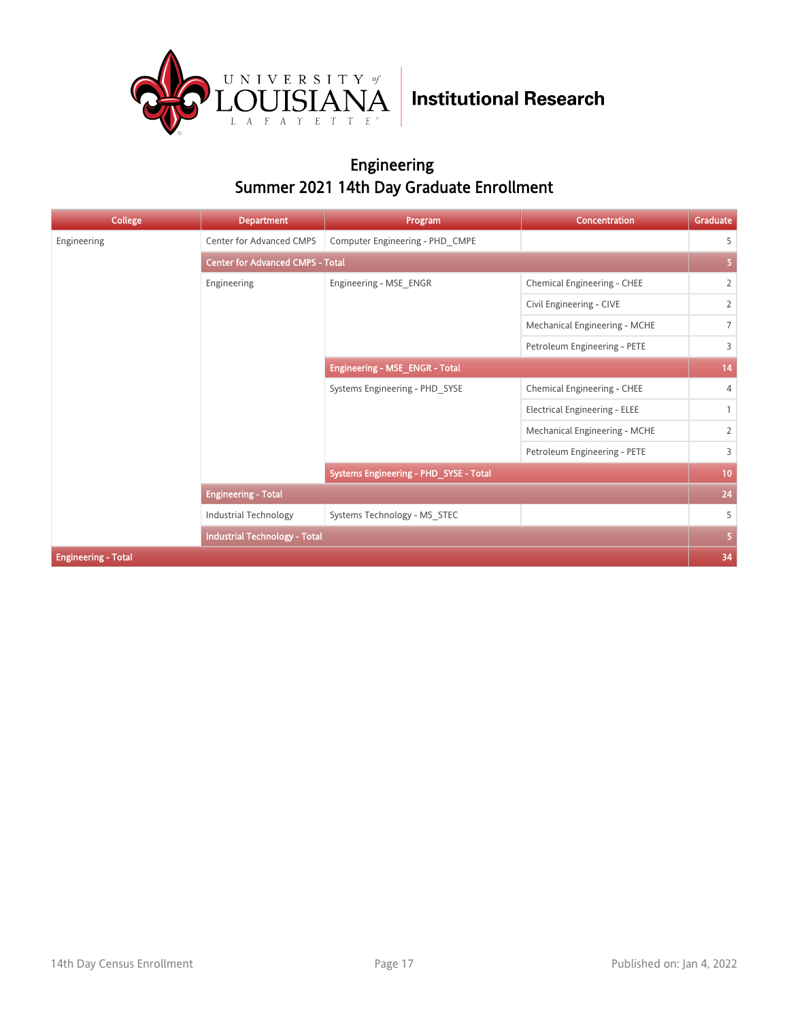

### Engineering Summer 2021 14th Day Graduate Enrollment

| College                    | <b>Department</b>                       | Program                                | <b>Concentration</b>                 | Graduate        |
|----------------------------|-----------------------------------------|----------------------------------------|--------------------------------------|-----------------|
| Engineering                | Center for Advanced CMPS                | Computer Engineering - PHD CMPE        |                                      | 5               |
|                            | <b>Center for Advanced CMPS - Total</b> |                                        |                                      |                 |
|                            | Engineering                             | Engineering - MSE ENGR                 | Chemical Engineering - CHEE          | $\overline{2}$  |
|                            |                                         |                                        | Civil Engineering - CIVE             | $\overline{2}$  |
|                            |                                         |                                        | Mechanical Engineering - MCHE        | $\overline{7}$  |
|                            |                                         |                                        | Petroleum Engineering - PETE         | 3               |
|                            |                                         | <b>Engineering - MSE_ENGR - Total</b>  |                                      | 14              |
|                            |                                         | Systems Engineering - PHD SYSE         | Chemical Engineering - CHEE          | $\overline{4}$  |
|                            |                                         |                                        | <b>Electrical Engineering - ELEE</b> | $\mathbf{1}$    |
|                            |                                         |                                        | Mechanical Engineering - MCHE        | $\overline{2}$  |
|                            |                                         |                                        | Petroleum Engineering - PETE         | 3               |
|                            |                                         | Systems Engineering - PHD_SYSE - Total |                                      | 10 <sub>1</sub> |
|                            | <b>Engineering - Total</b>              |                                        |                                      | 24              |
|                            | Industrial Technology                   | Systems Technology - MS STEC           |                                      | 5               |
|                            | <b>Industrial Technology - Total</b>    |                                        |                                      | 5               |
| <b>Engineering - Total</b> |                                         |                                        |                                      | 34              |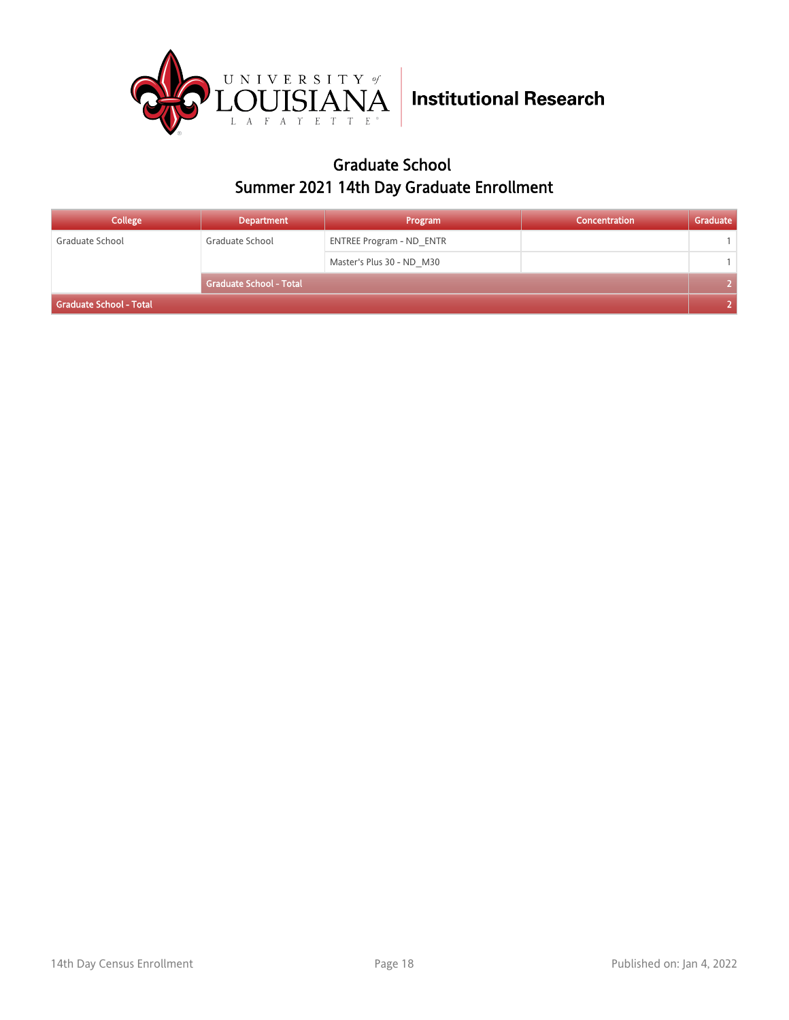

### Graduate School Summer 2021 14th Day Graduate Enrollment

| College                 | <b>Department</b>              | Program                         | Concentration | Graduate |
|-------------------------|--------------------------------|---------------------------------|---------------|----------|
| Graduate School         | Graduate School                | <b>ENTREE Program - ND ENTR</b> |               |          |
|                         |                                | Master's Plus 30 - ND M30       |               |          |
|                         | <b>Graduate School - Total</b> |                                 |               |          |
| Graduate School - Total |                                |                                 |               |          |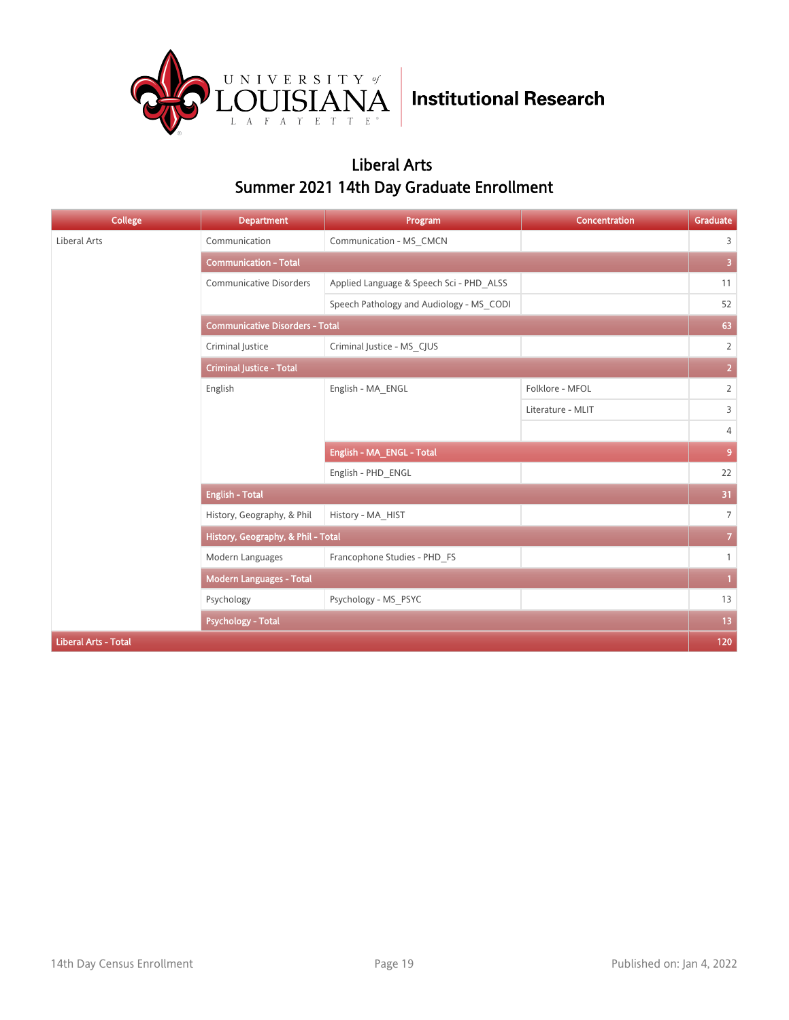

### Liberal Arts Summer 2021 14th Day Graduate Enrollment

| <b>College</b>              | <b>Department</b>                      | Program                                  | Concentration     | Graduate                |
|-----------------------------|----------------------------------------|------------------------------------------|-------------------|-------------------------|
| Liberal Arts                | Communication                          | Communication - MS_CMCN                  |                   | 3                       |
|                             | <b>Communication - Total</b>           |                                          |                   | $\overline{\mathbf{3}}$ |
|                             | Communicative Disorders                | Applied Language & Speech Sci - PHD ALSS |                   | 11                      |
|                             |                                        | Speech Pathology and Audiology - MS_CODI |                   | 52                      |
|                             | <b>Communicative Disorders - Total</b> |                                          |                   |                         |
|                             | Criminal Justice                       | Criminal Justice - MS_CJUS               |                   | $\overline{2}$          |
|                             | <b>Criminal Justice - Total</b>        |                                          |                   | $\overline{2}$          |
|                             | English                                | English - MA_ENGL                        | Folklore - MFOL   | $\overline{2}$          |
|                             |                                        |                                          | Literature - MLIT | 3                       |
|                             |                                        |                                          |                   | 4                       |
|                             |                                        | English - MA_ENGL - Total                |                   | 9                       |
|                             |                                        | English - PHD ENGL                       |                   | 22                      |
|                             | <b>English - Total</b>                 |                                          |                   | 31                      |
|                             | History, Geography, & Phil             | History - MA_HIST                        |                   | $\overline{7}$          |
|                             | History, Geography, & Phil - Total     |                                          |                   | $\mathbf{7}$            |
|                             | Modern Languages                       | Francophone Studies - PHD_FS             |                   | $\mathbf{1}$            |
|                             | <b>Modern Languages - Total</b>        |                                          |                   | $\mathbf{1}$            |
|                             | Psychology                             | Psychology - MS PSYC                     |                   | 13                      |
|                             | <b>Psychology - Total</b>              |                                          |                   | 13                      |
| <b>Liberal Arts - Total</b> |                                        |                                          |                   | 120                     |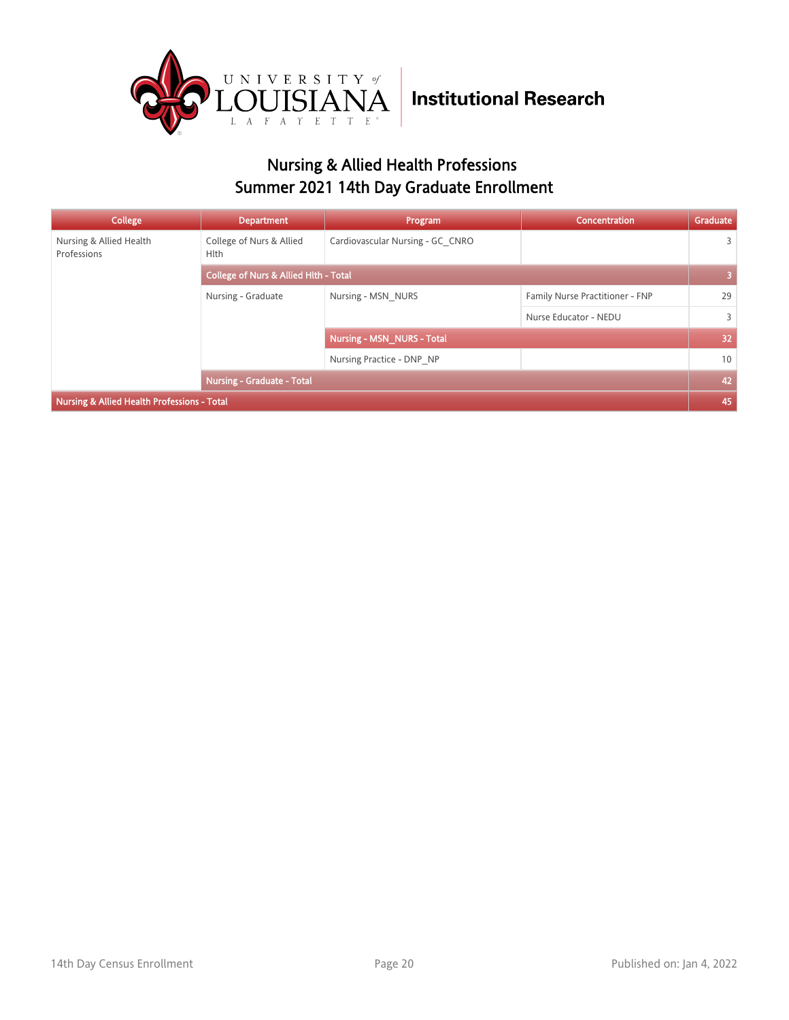

### Nursing & Allied Health Professions Summer 2021 14th Day Graduate Enrollment

| College                                     | <b>Department</b>                                | Program                           | Concentration                   | Graduate        |
|---------------------------------------------|--------------------------------------------------|-----------------------------------|---------------------------------|-----------------|
| Nursing & Allied Health<br>Professions      | College of Nurs & Allied<br><b>Hlth</b>          | Cardiovascular Nursing - GC CNRO  |                                 | 3               |
|                                             | <b>College of Nurs &amp; Allied Hith - Total</b> |                                   |                                 | 3               |
|                                             | Nursing - Graduate                               | Nursing - MSN NURS                | Family Nurse Practitioner - FNP | 29              |
|                                             |                                                  |                                   | Nurse Educator - NEDU           | 3               |
|                                             |                                                  | <b>Nursing - MSN NURS - Total</b> |                                 | 32 <sub>2</sub> |
|                                             |                                                  | Nursing Practice - DNP NP         |                                 | 10              |
|                                             | <b>Nursing - Graduate - Total</b>                |                                   |                                 | 42              |
| Nursing & Allied Health Professions - Total |                                                  |                                   |                                 | 45              |